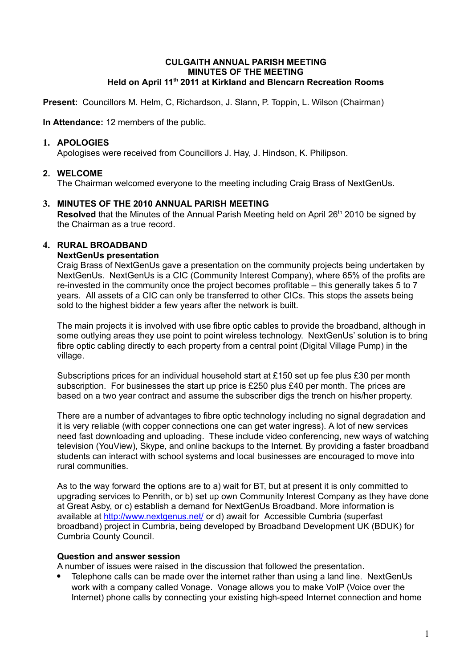#### **CULGAITH ANNUAL PARISH MEETING MINUTES OF THE MEETING Held on April 11th 2011 at Kirkland and Blencarn Recreation Rooms**

**Present:** Councillors M. Helm, C, Richardson, J. Slann, P. Toppin, L. Wilson (Chairman)

**In Attendance:** 12 members of the public.

## **1. APOLOGIES**

Apologises were received from Councillors J. Hay, J. Hindson, K. Philipson.

# **2. WELCOME**

The Chairman welcomed everyone to the meeting including Craig Brass of NextGenUs.

## **3. MINUTES OF THE 2010 ANNUAL PARISH MEETING**

**Resolved** that the Minutes of the Annual Parish Meeting held on April 26<sup>th</sup> 2010 be signed by the Chairman as a true record.

## **4. RURAL BROADBAND**

## **NextGenUs presentation**

Craig Brass of NextGenUs gave a presentation on the community projects being undertaken by NextGenUs. NextGenUs is a CIC (Community Interest Company), where 65% of the profits are re-invested in the community once the project becomes profitable – this generally takes 5 to 7 years. All assets of a CIC can only be transferred to other CICs. This stops the assets being sold to the highest bidder a few years after the network is built.

The main projects it is involved with use fibre optic cables to provide the broadband, although in some outlying areas they use point to point wireless technology. NextGenUs' solution is to bring fibre optic cabling directly to each property from a central point (Digital Village Pump) in the village.

Subscriptions prices for an individual household start at £150 set up fee plus £30 per month subscription. For businesses the start up price is £250 plus £40 per month. The prices are based on a two year contract and assume the subscriber digs the trench on his/her property.

There are a number of advantages to fibre optic technology including no signal degradation and it is very reliable (with copper connections one can get water ingress). A lot of new services need fast downloading and uploading. These include video conferencing, new ways of watching television (YouView), Skype, and online backups to the Internet. By providing a faster broadband students can interact with school systems and local businesses are encouraged to move into rural communities.

As to the way forward the options are to a) wait for BT, but at present it is only committed to upgrading services to Penrith, or b) set up own Community Interest Company as they have done at Great Asby, or c) establish a demand for NextGenUs Broadband. More information is available at<http://www.nextgenus.net/>or d) await for Accessible Cumbria (superfast broadband) project in Cumbria, being developed by Broadband Development UK (BDUK) for Cumbria County Council.

#### **Question and answer session**

A number of issues were raised in the discussion that followed the presentation.

 Telephone calls can be made over the internet rather than using a land line. NextGenUs work with a company called Vonage. Vonage allows you to make VoIP (Voice over the Internet) phone calls by connecting your existing high-speed Internet connection and home